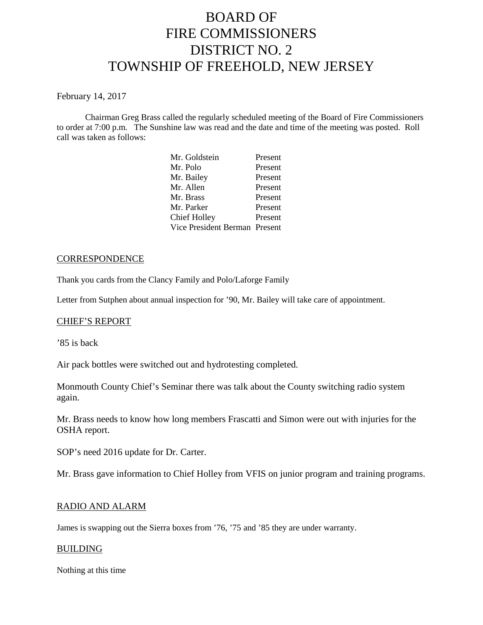# BOARD OF FIRE COMMISSIONERS DISTRICT NO. 2 TOWNSHIP OF FREEHOLD, NEW JERSEY

February 14, 2017

Chairman Greg Brass called the regularly scheduled meeting of the Board of Fire Commissioners to order at 7:00 p.m. The Sunshine law was read and the date and time of the meeting was posted. Roll call was taken as follows:

| Mr. Goldstein                 | Present |
|-------------------------------|---------|
| Mr. Polo                      | Present |
| Mr. Bailey                    | Present |
| Mr. Allen                     | Present |
| Mr. Brass                     | Present |
| Mr. Parker                    | Present |
| Chief Holley                  | Present |
| Vice President Berman Present |         |
|                               |         |

# **CORRESPONDENCE**

Thank you cards from the Clancy Family and Polo/Laforge Family

Letter from Sutphen about annual inspection for '90, Mr. Bailey will take care of appointment.

# CHIEF'S REPORT

'85 is back

Air pack bottles were switched out and hydrotesting completed.

Monmouth County Chief's Seminar there was talk about the County switching radio system again.

Mr. Brass needs to know how long members Frascatti and Simon were out with injuries for the OSHA report.

SOP's need 2016 update for Dr. Carter.

Mr. Brass gave information to Chief Holley from VFIS on junior program and training programs.

# RADIO AND ALARM

James is swapping out the Sierra boxes from '76, '75 and '85 they are under warranty.

#### BUILDING

Nothing at this time